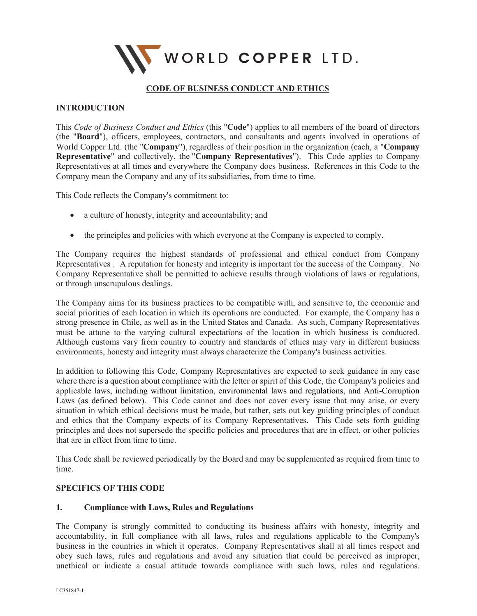

# **CODE OF BUSINESS CONDUCT AND ETHICS**

### **INTRODUCTION**

This *Code of Business Conduct and Ethics* (this "**Code**") applies to all members of the board of directors (the "**Board**"), officers, employees, contractors, and consultants and agents involved in operations of World Copper Ltd. (the "**Company**"), regardless of their position in the organization (each, a "**Company Representative**" and collectively, the "**Company Representatives**"). This Code applies to Company Representatives at all times and everywhere the Company does business. References in this Code to the Company mean the Company and any of its subsidiaries, from time to time.

This Code reflects the Company's commitment to:

- a culture of honesty, integrity and accountability; and
- the principles and policies with which everyone at the Company is expected to comply.

The Company requires the highest standards of professional and ethical conduct from Company Representatives . A reputation for honesty and integrity is important for the success of the Company. No Company Representative shall be permitted to achieve results through violations of laws or regulations, or through unscrupulous dealings.

The Company aims for its business practices to be compatible with, and sensitive to, the economic and social priorities of each location in which its operations are conducted. For example, the Company has a strong presence in Chile, as well as in the United States and Canada. As such, Company Representatives must be attune to the varying cultural expectations of the location in which business is conducted. Although customs vary from country to country and standards of ethics may vary in different business environments, honesty and integrity must always characterize the Company's business activities.

In addition to following this Code, Company Representatives are expected to seek guidance in any case where there is a question about compliance with the letter or spirit of this Code, the Company's policies and applicable laws, including without limitation, environmental laws and regulations, and Anti-Corruption Laws (as defined below). This Code cannot and does not cover every issue that may arise, or every situation in which ethical decisions must be made, but rather, sets out key guiding principles of conduct and ethics that the Company expects of its Company Representatives. This Code sets forth guiding principles and does not supersede the specific policies and procedures that are in effect, or other policies that are in effect from time to time.

This Code shall be reviewed periodically by the Board and may be supplemented as required from time to time.

### **SPECIFICS OF THIS CODE**

### **1. Compliance with Laws, Rules and Regulations**

The Company is strongly committed to conducting its business affairs with honesty, integrity and accountability, in full compliance with all laws, rules and regulations applicable to the Company's business in the countries in which it operates. Company Representatives shall at all times respect and obey such laws, rules and regulations and avoid any situation that could be perceived as improper, unethical or indicate a casual attitude towards compliance with such laws, rules and regulations.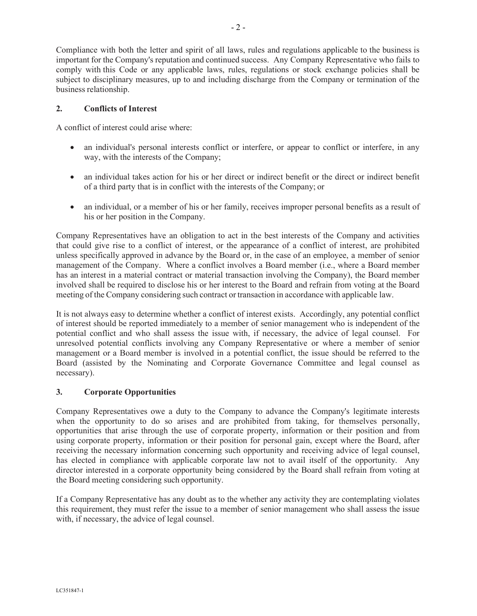Compliance with both the letter and spirit of all laws, rules and regulations applicable to the business is important for the Company's reputation and continued success. Any Company Representative who fails to comply with this Code or any applicable laws, rules, regulations or stock exchange policies shall be subject to disciplinary measures, up to and including discharge from the Company or termination of the business relationship.

## **2. Conflicts of Interest**

A conflict of interest could arise where:

- an individual's personal interests conflict or interfere, or appear to conflict or interfere, in any way, with the interests of the Company;
- an individual takes action for his or her direct or indirect benefit or the direct or indirect benefit of a third party that is in conflict with the interests of the Company; or
- an individual, or a member of his or her family, receives improper personal benefits as a result of his or her position in the Company.

Company Representatives have an obligation to act in the best interests of the Company and activities that could give rise to a conflict of interest, or the appearance of a conflict of interest, are prohibited unless specifically approved in advance by the Board or, in the case of an employee, a member of senior management of the Company. Where a conflict involves a Board member (i.e., where a Board member has an interest in a material contract or material transaction involving the Company), the Board member involved shall be required to disclose his or her interest to the Board and refrain from voting at the Board meeting of the Company considering such contract or transaction in accordance with applicable law.

It is not always easy to determine whether a conflict of interest exists. Accordingly, any potential conflict of interest should be reported immediately to a member of senior management who is independent of the potential conflict and who shall assess the issue with, if necessary, the advice of legal counsel. For unresolved potential conflicts involving any Company Representative or where a member of senior management or a Board member is involved in a potential conflict, the issue should be referred to the Board (assisted by the Nominating and Corporate Governance Committee and legal counsel as necessary).

# **3. Corporate Opportunities**

Company Representatives owe a duty to the Company to advance the Company's legitimate interests when the opportunity to do so arises and are prohibited from taking, for themselves personally, opportunities that arise through the use of corporate property, information or their position and from using corporate property, information or their position for personal gain, except where the Board, after receiving the necessary information concerning such opportunity and receiving advice of legal counsel, has elected in compliance with applicable corporate law not to avail itself of the opportunity. Any director interested in a corporate opportunity being considered by the Board shall refrain from voting at the Board meeting considering such opportunity.

If a Company Representative has any doubt as to the whether any activity they are contemplating violates this requirement, they must refer the issue to a member of senior management who shall assess the issue with, if necessary, the advice of legal counsel.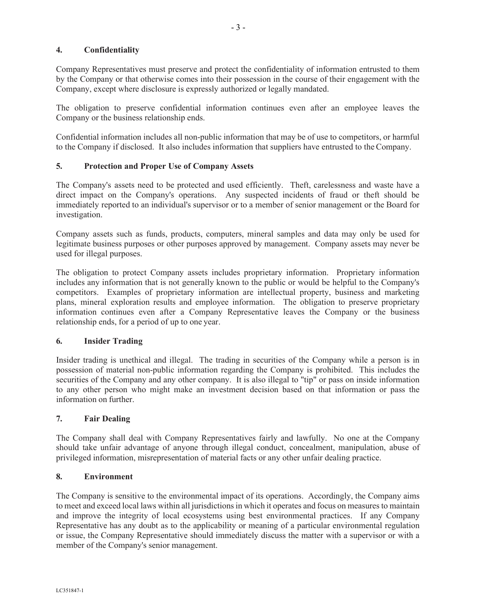## **4. Confidentiality**

Company Representatives must preserve and protect the confidentiality of information entrusted to them by the Company or that otherwise comes into their possession in the course of their engagement with the Company, except where disclosure is expressly authorized or legally mandated.

The obligation to preserve confidential information continues even after an employee leaves the Company or the business relationship ends.

Confidential information includes all non-public information that may be of use to competitors, or harmful to the Company if disclosed. It also includes information that suppliers have entrusted to the Company.

### **5. Protection and Proper Use of Company Assets**

The Company's assets need to be protected and used efficiently. Theft, carelessness and waste have a direct impact on the Company's operations. Any suspected incidents of fraud or theft should be immediately reported to an individual's supervisor or to a member of senior management or the Board for investigation.

Company assets such as funds, products, computers, mineral samples and data may only be used for legitimate business purposes or other purposes approved by management. Company assets may never be used for illegal purposes.

The obligation to protect Company assets includes proprietary information. Proprietary information includes any information that is not generally known to the public or would be helpful to the Company's competitors. Examples of proprietary information are intellectual property, business and marketing plans, mineral exploration results and employee information. The obligation to preserve proprietary information continues even after a Company Representative leaves the Company or the business relationship ends, for a period of up to one year.

#### **6. Insider Trading**

Insider trading is unethical and illegal. The trading in securities of the Company while a person is in possession of material non-public information regarding the Company is prohibited. This includes the securities of the Company and any other company. It is also illegal to "tip" or pass on inside information to any other person who might make an investment decision based on that information or pass the information on further.

### **7. Fair Dealing**

The Company shall deal with Company Representatives fairly and lawfully. No one at the Company should take unfair advantage of anyone through illegal conduct, concealment, manipulation, abuse of privileged information, misrepresentation of material facts or any other unfair dealing practice.

#### **8. Environment**

The Company is sensitive to the environmental impact of its operations. Accordingly, the Company aims to meet and exceed local laws within all jurisdictionsin which it operates and focus on measures to maintain and improve the integrity of local ecosystems using best environmental practices. If any Company Representative has any doubt as to the applicability or meaning of a particular environmental regulation or issue, the Company Representative should immediately discuss the matter with a supervisor or with a member of the Company's senior management.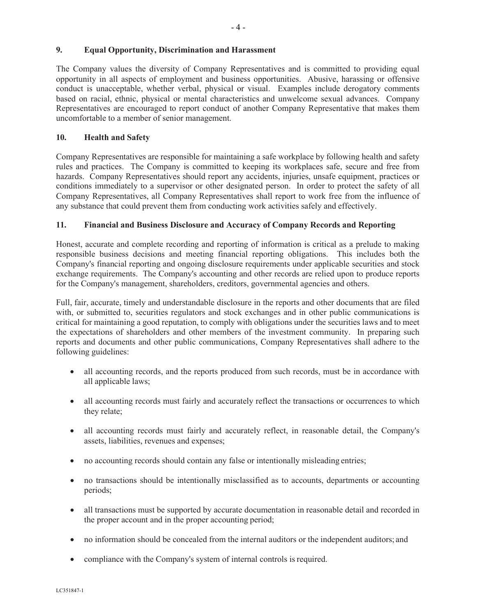### **9. Equal Opportunity, Discrimination and Harassment**

The Company values the diversity of Company Representatives and is committed to providing equal opportunity in all aspects of employment and business opportunities. Abusive, harassing or offensive conduct is unacceptable, whether verbal, physical or visual. Examples include derogatory comments based on racial, ethnic, physical or mental characteristics and unwelcome sexual advances. Company Representatives are encouraged to report conduct of another Company Representative that makes them uncomfortable to a member of senior management.

## **10. Health and Safety**

Company Representatives are responsible for maintaining a safe workplace by following health and safety rules and practices. The Company is committed to keeping its workplaces safe, secure and free from hazards. Company Representatives should report any accidents, injuries, unsafe equipment, practices or conditions immediately to a supervisor or other designated person. In order to protect the safety of all Company Representatives, all Company Representatives shall report to work free from the influence of any substance that could prevent them from conducting work activities safely and effectively.

# **11. Financial and Business Disclosure and Accuracy of Company Records and Reporting**

Honest, accurate and complete recording and reporting of information is critical as a prelude to making responsible business decisions and meeting financial reporting obligations. This includes both the Company's financial reporting and ongoing disclosure requirements under applicable securities and stock exchange requirements. The Company's accounting and other records are relied upon to produce reports for the Company's management, shareholders, creditors, governmental agencies and others.

Full, fair, accurate, timely and understandable disclosure in the reports and other documents that are filed with, or submitted to, securities regulators and stock exchanges and in other public communications is critical for maintaining a good reputation, to comply with obligations under the securities laws and to meet the expectations of shareholders and other members of the investment community. In preparing such reports and documents and other public communications, Company Representatives shall adhere to the following guidelines:

- all accounting records, and the reports produced from such records, must be in accordance with all applicable laws;
- all accounting records must fairly and accurately reflect the transactions or occurrences to which they relate;
- all accounting records must fairly and accurately reflect, in reasonable detail, the Company's assets, liabilities, revenues and expenses;
- no accounting records should contain any false or intentionally misleading entries;
- no transactions should be intentionally misclassified as to accounts, departments or accounting periods;
- all transactions must be supported by accurate documentation in reasonable detail and recorded in the proper account and in the proper accounting period;
- no information should be concealed from the internal auditors or the independent auditors; and
- compliance with the Company's system of internal controls is required.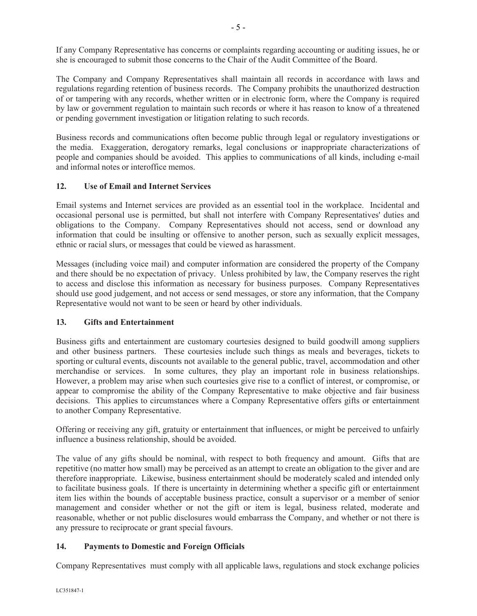If any Company Representative has concerns or complaints regarding accounting or auditing issues, he or she is encouraged to submit those concerns to the Chair of the Audit Committee of the Board.

The Company and Company Representatives shall maintain all records in accordance with laws and regulations regarding retention of business records. The Company prohibits the unauthorized destruction of or tampering with any records, whether written or in electronic form, where the Company is required by law or government regulation to maintain such records or where it has reason to know of a threatened or pending government investigation or litigation relating to such records.

Business records and communications often become public through legal or regulatory investigations or the media. Exaggeration, derogatory remarks, legal conclusions or inappropriate characterizations of people and companies should be avoided. This applies to communications of all kinds, including e-mail and informal notes or interoffice memos.

# **12. Use of Email and Internet Services**

Email systems and Internet services are provided as an essential tool in the workplace. Incidental and occasional personal use is permitted, but shall not interfere with Company Representatives' duties and obligations to the Company. Company Representatives should not access, send or download any information that could be insulting or offensive to another person, such as sexually explicit messages, ethnic or racial slurs, or messages that could be viewed as harassment.

Messages (including voice mail) and computer information are considered the property of the Company and there should be no expectation of privacy. Unless prohibited by law, the Company reserves the right to access and disclose this information as necessary for business purposes. Company Representatives should use good judgement, and not access or send messages, or store any information, that the Company Representative would not want to be seen or heard by other individuals.

# **13. Gifts and Entertainment**

Business gifts and entertainment are customary courtesies designed to build goodwill among suppliers and other business partners. These courtesies include such things as meals and beverages, tickets to sporting or cultural events, discounts not available to the general public, travel, accommodation and other merchandise or services. In some cultures, they play an important role in business relationships. However, a problem may arise when such courtesies give rise to a conflict of interest, or compromise, or appear to compromise the ability of the Company Representative to make objective and fair business decisions. This applies to circumstances where a Company Representative offers gifts or entertainment to another Company Representative.

Offering or receiving any gift, gratuity or entertainment that influences, or might be perceived to unfairly influence a business relationship, should be avoided.

The value of any gifts should be nominal, with respect to both frequency and amount. Gifts that are repetitive (no matter how small) may be perceived as an attempt to create an obligation to the giver and are therefore inappropriate. Likewise, business entertainment should be moderately scaled and intended only to facilitate business goals. If there is uncertainty in determining whether a specific gift or entertainment item lies within the bounds of acceptable business practice, consult a supervisor or a member of senior management and consider whether or not the gift or item is legal, business related, moderate and reasonable, whether or not public disclosures would embarrass the Company, and whether or not there is any pressure to reciprocate or grant special favours.

# **14. Payments to Domestic and Foreign Officials**

Company Representatives must comply with all applicable laws, regulations and stock exchange policies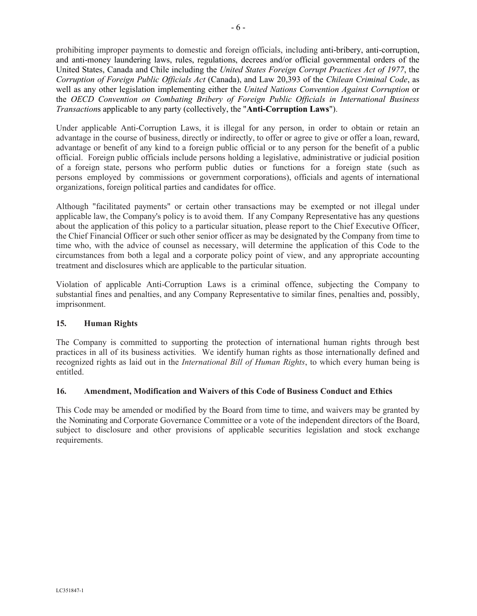prohibiting improper payments to domestic and foreign officials, including anti-bribery, anti-corruption, and anti-money laundering laws, rules, regulations, decrees and/or official governmental orders of the United States, Canada and Chile including the *United States Foreign Corrupt Practices Act of 1977*, the *Corruption of Foreign Public Officials Act* (Canada), and Law 20,393 of the *Chilean Criminal Code*, as well as any other legislation implementing either the *United Nations Convention Against Corruption* or the *OECD Convention on Combating Bribery of Foreign Public Officials in International Business Transaction*s applicable to any party (collectively, the "**Anti-Corruption Laws**").

Under applicable Anti-Corruption Laws, it is illegal for any person, in order to obtain or retain an advantage in the course of business, directly or indirectly, to offer or agree to give or offer a loan, reward, advantage or benefit of any kind to a foreign public official or to any person for the benefit of a public official. Foreign public officials include persons holding a legislative, administrative or judicial position of a foreign state, persons who perform public duties or functions for a foreign state (such as persons employed by commissions or government corporations), officials and agents of international organizations, foreign political parties and candidates for office.

Although "facilitated payments" or certain other transactions may be exempted or not illegal under applicable law, the Company's policy is to avoid them. If any Company Representative has any questions about the application of this policy to a particular situation, please report to the Chief Executive Officer, the Chief Financial Officer or such other senior officer as may be designated by the Company from time to time who, with the advice of counsel as necessary, will determine the application of this Code to the circumstances from both a legal and a corporate policy point of view, and any appropriate accounting treatment and disclosures which are applicable to the particular situation.

Violation of applicable Anti-Corruption Laws is a criminal offence, subjecting the Company to substantial fines and penalties, and any Company Representative to similar fines, penalties and, possibly, imprisonment.

# **15. Human Rights**

The Company is committed to supporting the protection of international human rights through best practices in all of its business activities. We identify human rights as those internationally defined and recognized rights as laid out in the *International Bill of Human Rights*, to which every human being is entitled.

### **16. Amendment, Modification and Waivers of this Code of Business Conduct and Ethics**

This Code may be amended or modified by the Board from time to time, and waivers may be granted by the Nominating and Corporate Governance Committee or a vote of the independent directors of the Board, subject to disclosure and other provisions of applicable securities legislation and stock exchange requirements.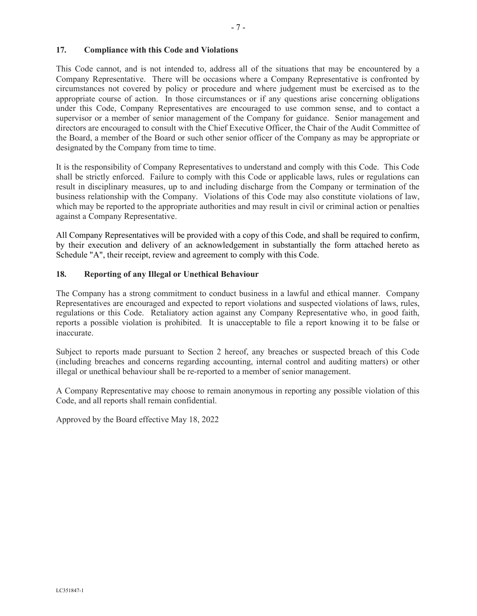### **17. Compliance with this Code and Violations**

This Code cannot, and is not intended to, address all of the situations that may be encountered by a Company Representative. There will be occasions where a Company Representative is confronted by circumstances not covered by policy or procedure and where judgement must be exercised as to the appropriate course of action. In those circumstances or if any questions arise concerning obligations under this Code, Company Representatives are encouraged to use common sense, and to contact a supervisor or a member of senior management of the Company for guidance. Senior management and directors are encouraged to consult with the Chief Executive Officer, the Chair of the Audit Committee of the Board, a member of the Board or such other senior officer of the Company as may be appropriate or designated by the Company from time to time.

It is the responsibility of Company Representatives to understand and comply with this Code. This Code shall be strictly enforced. Failure to comply with this Code or applicable laws, rules or regulations can result in disciplinary measures, up to and including discharge from the Company or termination of the business relationship with the Company. Violations of this Code may also constitute violations of law, which may be reported to the appropriate authorities and may result in civil or criminal action or penalties against a Company Representative.

All Company Representatives will be provided with a copy of this Code, and shall be required to confirm, by their execution and delivery of an acknowledgement in substantially the form attached hereto as Schedule "A", their receipt, review and agreement to comply with this Code.

### **18. Reporting of any Illegal or Unethical Behaviour**

The Company has a strong commitment to conduct business in a lawful and ethical manner. Company Representatives are encouraged and expected to report violations and suspected violations of laws, rules, regulations or this Code. Retaliatory action against any Company Representative who, in good faith, reports a possible violation is prohibited. It is unacceptable to file a report knowing it to be false or inaccurate.

Subject to reports made pursuant to Section 2 hereof, any breaches or suspected breach of this Code (including breaches and concerns regarding accounting, internal control and auditing matters) or other illegal or unethical behaviour shall be re-reported to a member of senior management.

A Company Representative may choose to remain anonymous in reporting any possible violation of this Code, and all reports shall remain confidential.

Approved by the Board effective May 18, 2022